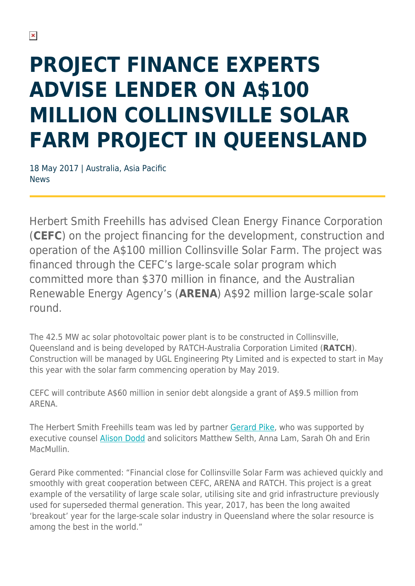## **PROJECT FINANCE EXPERTS ADVISE LENDER ON A\$100 MILLION COLLINSVILLE SOLAR FARM PROJECT IN QUEENSLAND**

18 May 2017 | Australia, Asia Pacific News

Herbert Smith Freehills has advised Clean Energy Finance Corporation (**CEFC**) on the project financing for the development, construction and operation of the A\$100 million Collinsville Solar Farm. The project was financed through the CEFC's large-scale solar program which committed more than \$370 million in finance, and the Australian Renewable Energy Agency's (**ARENA**) A\$92 million large-scale solar round.

The 42.5 MW ac solar photovoltaic power plant is to be constructed in Collinsville, Queensland and is being developed by RATCH-Australia Corporation Limited (**RATCH**). Construction will be managed by UGL Engineering Pty Limited and is expected to start in May this year with the solar farm commencing operation by May 2019.

CEFC will contribute A\$60 million in senior debt alongside a grant of A\$9.5 million from ARENA.

The Herbert Smith Freehills team was led by partner [Gerard Pike,](https://www.herbertsmithfreehills.com/our-people/gerard-pike) who was supported by executive counsel [Alison Dodd](https://www.herbertsmithfreehills.com/our-people/alison-dodd) and solicitors Matthew Selth, Anna Lam, Sarah Oh and Erin MacMullin.

Gerard Pike commented: "Financial close for Collinsville Solar Farm was achieved quickly and smoothly with great cooperation between CEFC, ARENA and RATCH. This project is a great example of the versatility of large scale solar, utilising site and grid infrastructure previously used for superseded thermal generation. This year, 2017, has been the long awaited 'breakout' year for the large-scale solar industry in Queensland where the solar resource is among the best in the world."